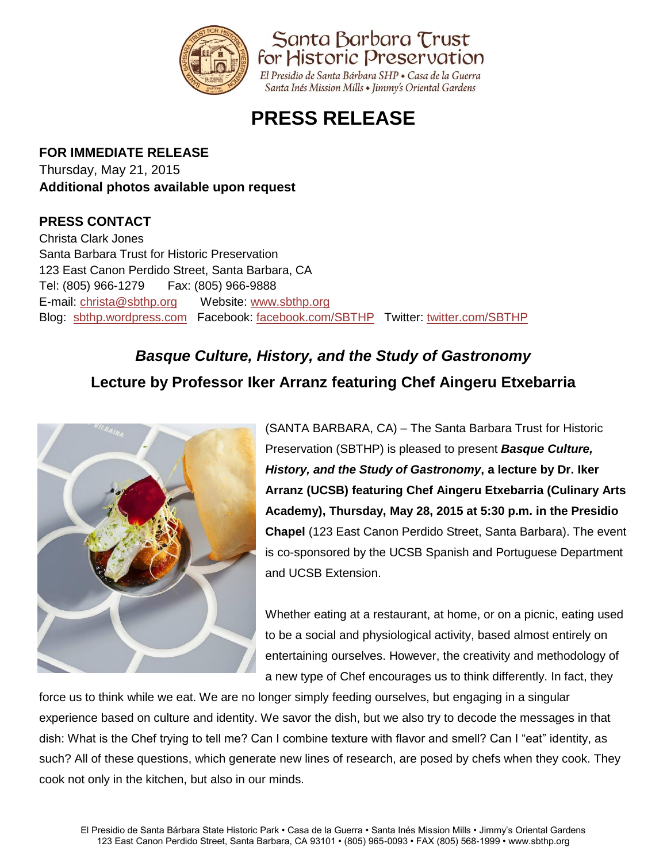

# **PRESS RELEASE**

### **FOR IMMEDIATE RELEASE**

Thursday, May 21, 2015 **Additional photos available upon request**

### **PRESS CONTACT**

Christa Clark Jones Santa Barbara Trust for Historic Preservation 123 East Canon Perdido Street, Santa Barbara, CA Tel: (805) 966-1279 Fax: (805) 966-9888 E-mail: [christa@sbthp.org](mailto:christa@sbthp.org) Website: [www.sbthp.org](http://www.sbthp.org/) Blog: [sbthp.wordpress.com](http://sbthp.wordpress.com/) Facebook: [facebook.com/SBTHP](http://www.facebook.com/SBTHP) Twitter: [twitter.com/SBTHP](http://twitter.com/SBTHP)

# *Basque Culture, History, and the Study of Gastronomy* **Lecture by Professor Iker Arranz featuring Chef Aingeru Etxebarria**



(SANTA BARBARA, CA) – The Santa Barbara Trust for Historic Preservation (SBTHP) is pleased to present *Basque Culture, History, and the Study of Gastronomy***, a lecture by Dr. Iker Arranz (UCSB) featuring Chef Aingeru Etxebarria (Culinary Arts Academy), Thursday, May 28, 2015 at 5:30 p.m. in the Presidio Chapel** (123 East Canon Perdido Street, Santa Barbara). The event is co-sponsored by the UCSB Spanish and Portuguese Department and UCSB Extension.

Whether eating at a restaurant, at home, or on a picnic, eating used to be a social and physiological activity, based almost entirely on entertaining ourselves. However, the creativity and methodology of a new type of Chef encourages us to think differently. In fact, they

force us to think while we eat. We are no longer simply feeding ourselves, but engaging in a singular experience based on culture and identity. We savor the dish, but we also try to decode the messages in that dish: What is the Chef trying to tell me? Can I combine texture with flavor and smell? Can I "eat" identity, as such? All of these questions, which generate new lines of research, are posed by chefs when they cook. They cook not only in the kitchen, but also in our minds.